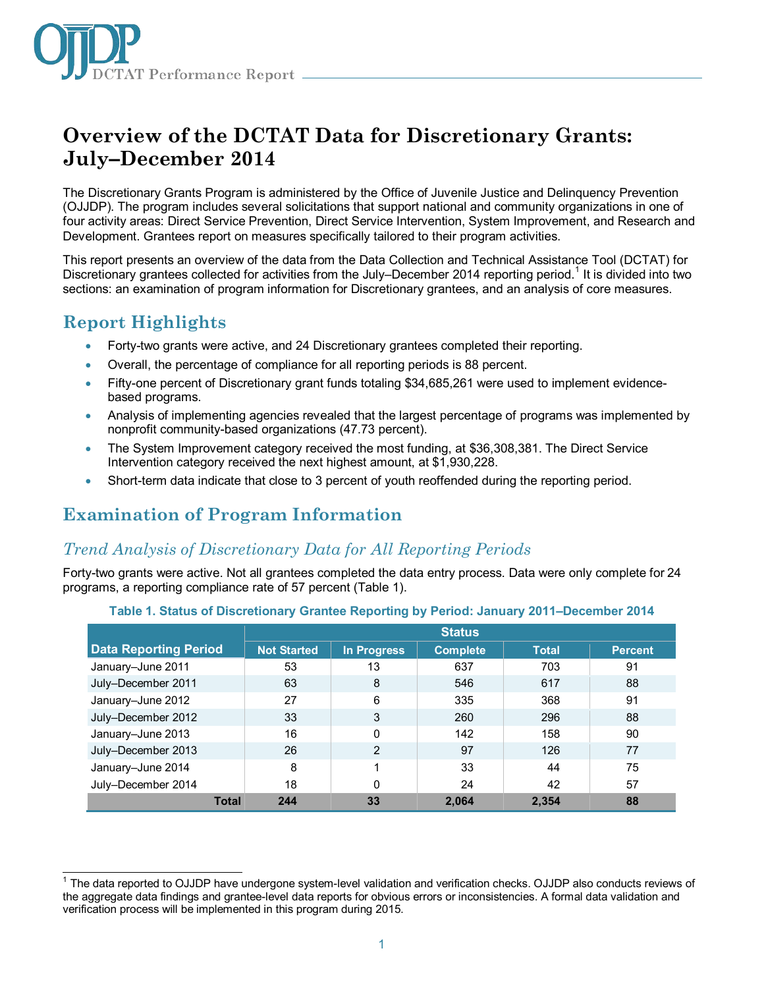

# **Overview of the DCTAT Data for Discretionary Grants: July–December 2014**

The Discretionary Grants Program is administered by the Office of Juvenile Justice and Delinquency Prevention (OJJDP). The program includes several solicitations that support national and community organizations in one of four activity areas: Direct Service Prevention, Direct Service Intervention, System Improvement, and Research and Development. Grantees report on measures specifically tailored to their program activities.

This report presents an overview of the data from the Data Collection and Technical Assistance Tool (DCTAT) for Discretionary grantees collected for activities from the July–December 20[1](#page-0-0)4 reporting period.<sup>1</sup> It is divided into two sections: an examination of program information for Discretionary grantees, and an analysis of core measures.

## **Report Highlights**

- Forty-two grants were active, and 24 Discretionary grantees completed their reporting.
- Overall, the percentage of compliance for all reporting periods is 88 percent.
- Fifty-one percent of Discretionary grant funds totaling \$34,685,261 were used to implement evidencebased programs.
- Analysis of implementing agencies revealed that the largest percentage of programs was implemented by nonprofit community-based organizations (47.73 percent).
- The System Improvement category received the most funding, at \$36,308,381. The Direct Service Intervention category received the next highest amount, at \$1,930,228.
- Short-term data indicate that close to 3 percent of youth reoffended during the reporting period.

## **Examination of Program Information**

### *Trend Analysis of Discretionary Data for All Reporting Periods*

Forty-two grants were active. Not all grantees completed the data entry process. Data were only complete for 24 programs, a reporting compliance rate of 57 percent (Table 1).

|                              | <b>Status</b>      |                    |                 |              |                |
|------------------------------|--------------------|--------------------|-----------------|--------------|----------------|
| <b>Data Reporting Period</b> | <b>Not Started</b> | <b>In Progress</b> | <b>Complete</b> | <b>Total</b> | <b>Percent</b> |
| January-June 2011            | 53                 | 13                 | 637             | 703          | 91             |
| July-December 2011           | 63                 | 8                  | 546             | 617          | 88             |
| January-June 2012            | 27                 | 6                  | 335             | 368          | 91             |
| July-December 2012           | 33                 | 3                  | 260             | 296          | 88             |
| January-June 2013            | 16                 | 0                  | 142             | 158          | 90             |
| July-December 2013           | 26                 | 2                  | 97              | 126          | 77             |
| January-June 2014            | 8                  | 4                  | 33              | 44           | 75             |
| July-December 2014           | 18                 | 0                  | 24              | 42           | 57             |
| Total                        | 244                | 33                 | 2,064           | 2,354        | 88             |

<span id="page-0-0"></span> $\overline{\phantom{a}}$ <sup>1</sup> The data reported to OJJDP have undergone system-level validation and verification checks. OJJDP also conducts reviews of the aggregate data findings and grantee-level data reports for obvious errors or inconsistencies. A formal data validation and verification process will be implemented in this program during 2015.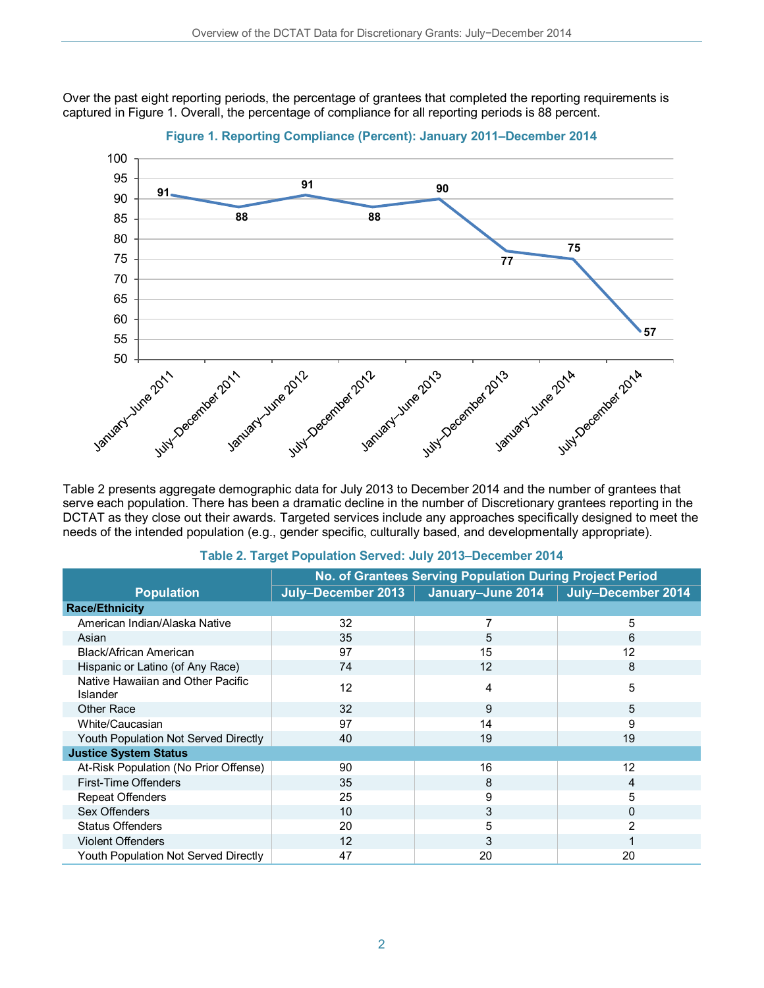Over the past eight reporting periods, the percentage of grantees that completed the reporting requirements is captured in Figure 1. Overall, the percentage of compliance for all reporting periods is 88 percent.





Table 2 presents aggregate demographic data for July 2013 to December 2014 and the number of grantees that serve each population. There has been a dramatic decline in the number of Discretionary grantees reporting in the DCTAT as they close out their awards. Targeted services include any approaches specifically designed to meet the needs of the intended population (e.g., gender specific, culturally based, and developmentally appropriate).

|                                                      | <b>No. of Grantees Serving Population During Project Period</b> |                                                             |                |  |
|------------------------------------------------------|-----------------------------------------------------------------|-------------------------------------------------------------|----------------|--|
| <b>Population</b>                                    |                                                                 | July-December 2013   January-June 2014   July-December 2014 |                |  |
| <b>Race/Ethnicity</b>                                |                                                                 |                                                             |                |  |
| American Indian/Alaska Native                        | 32                                                              |                                                             | 5              |  |
| Asian                                                | 35                                                              | 5                                                           | 6              |  |
| Black/African American                               | 97                                                              | 15                                                          | 12             |  |
| Hispanic or Latino (of Any Race)                     | 74                                                              | 12                                                          | 8              |  |
| Native Hawaiian and Other Pacific<br><b>Islander</b> | 12                                                              | 4                                                           | 5              |  |
| <b>Other Race</b>                                    | 32                                                              | 9                                                           | 5              |  |
| White/Caucasian                                      | 97                                                              | 14                                                          | 9              |  |
| Youth Population Not Served Directly                 | 40                                                              | 19                                                          | 19             |  |
| <b>Justice System Status</b>                         |                                                                 |                                                             |                |  |
| At-Risk Population (No Prior Offense)                | 90                                                              | 16                                                          | 12             |  |
| First-Time Offenders                                 | 35                                                              | 8                                                           | 4              |  |
| <b>Repeat Offenders</b>                              | 25                                                              | 9                                                           | 5              |  |
| Sex Offenders                                        | 10                                                              | 3                                                           | 0              |  |
| <b>Status Offenders</b>                              | 20                                                              | 5                                                           | $\overline{2}$ |  |
| <b>Violent Offenders</b>                             | 12                                                              | 3                                                           |                |  |
| Youth Population Not Served Directly                 | 47                                                              | 20                                                          | 20             |  |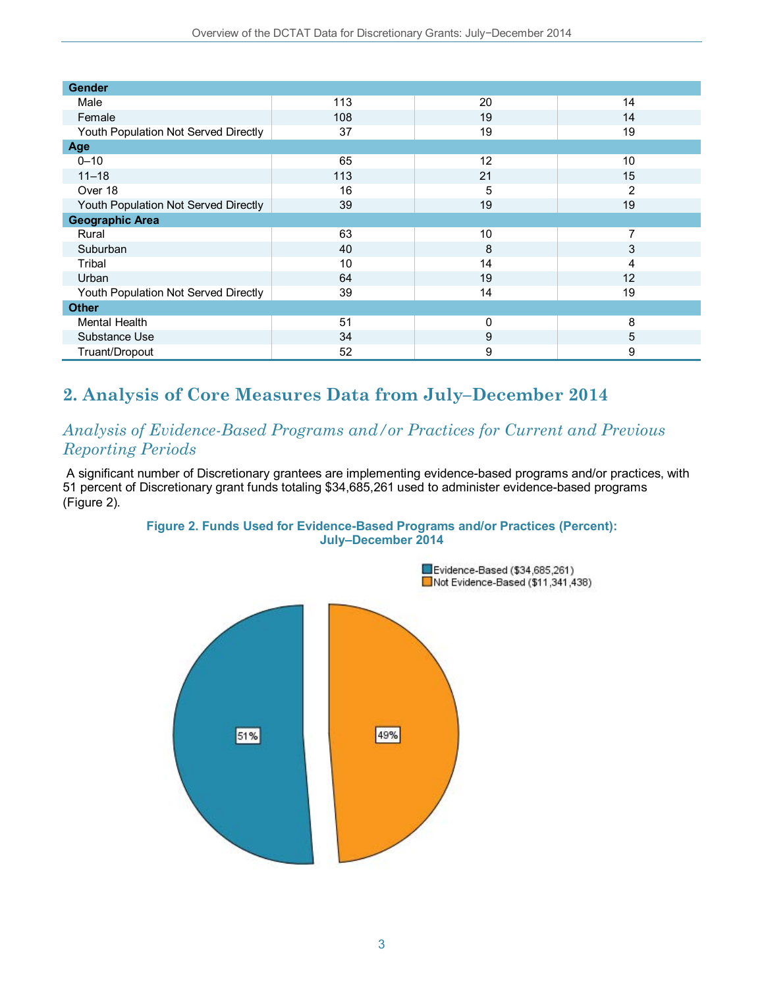| <b>Gender</b>                        |     |    |                |  |  |
|--------------------------------------|-----|----|----------------|--|--|
| Male                                 | 113 | 20 | 14             |  |  |
| Female                               | 108 | 19 | 14             |  |  |
| Youth Population Not Served Directly | 37  | 19 | 19             |  |  |
| Age                                  |     |    |                |  |  |
| $0 - 10$                             | 65  | 12 | 10             |  |  |
| $11 - 18$                            | 113 | 21 | 15             |  |  |
| Over 18                              | 16  | 5  | $\overline{2}$ |  |  |
| Youth Population Not Served Directly | 39  | 19 | 19             |  |  |
| <b>Geographic Area</b>               |     |    |                |  |  |
| Rural                                | 63  | 10 | 7              |  |  |
| Suburban                             | 40  | 8  | 3              |  |  |
| Tribal                               | 10  | 14 | 4              |  |  |
| Urban                                | 64  | 19 | 12             |  |  |
| Youth Population Not Served Directly | 39  | 14 | 19             |  |  |
| <b>Other</b>                         |     |    |                |  |  |
| <b>Mental Health</b>                 | 51  | 0  | 8              |  |  |
| Substance Use                        | 34  | 9  | 5              |  |  |
| Truant/Dropout                       | 52  | 9  | 9              |  |  |

## **2. Analysis of Core Measures Data from July–December 2014**

### *Analysis of Evidence-Based Programs and/or Practices for Current and Previous Reporting Periods*

A significant number of Discretionary grantees are implementing evidence-based programs and/or practices, with 51 percent of Discretionary grant funds totaling \$34,685,261 used to administer evidence-based programs (Figure 2).



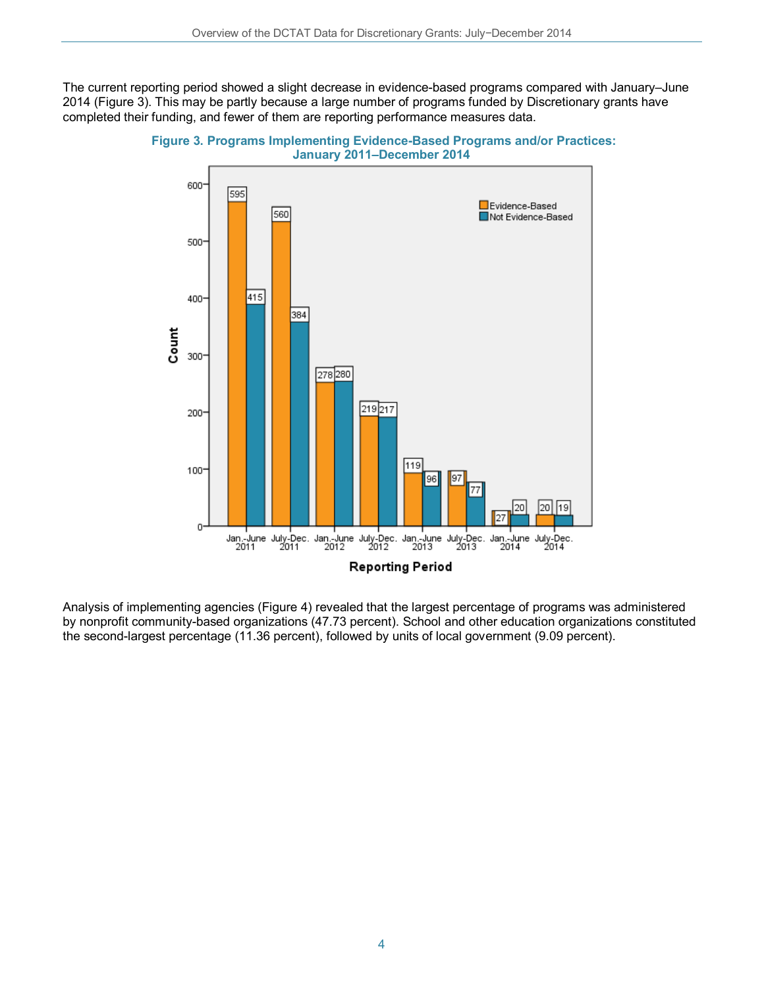The current reporting period showed a slight decrease in evidence-based programs compared with January–June 2014 (Figure 3). This may be partly because a large number of programs funded by Discretionary grants have completed their funding, and fewer of them are reporting performance measures data.



#### **Figure 3. Programs Implementing Evidence-Based Programs and/or Practices: January 2011–December 2014**

Analysis of implementing agencies (Figure 4) revealed that the largest percentage of programs was administered by nonprofit community-based organizations (47.73 percent). School and other education organizations constituted the second-largest percentage (11.36 percent), followed by units of local government (9.09 percent).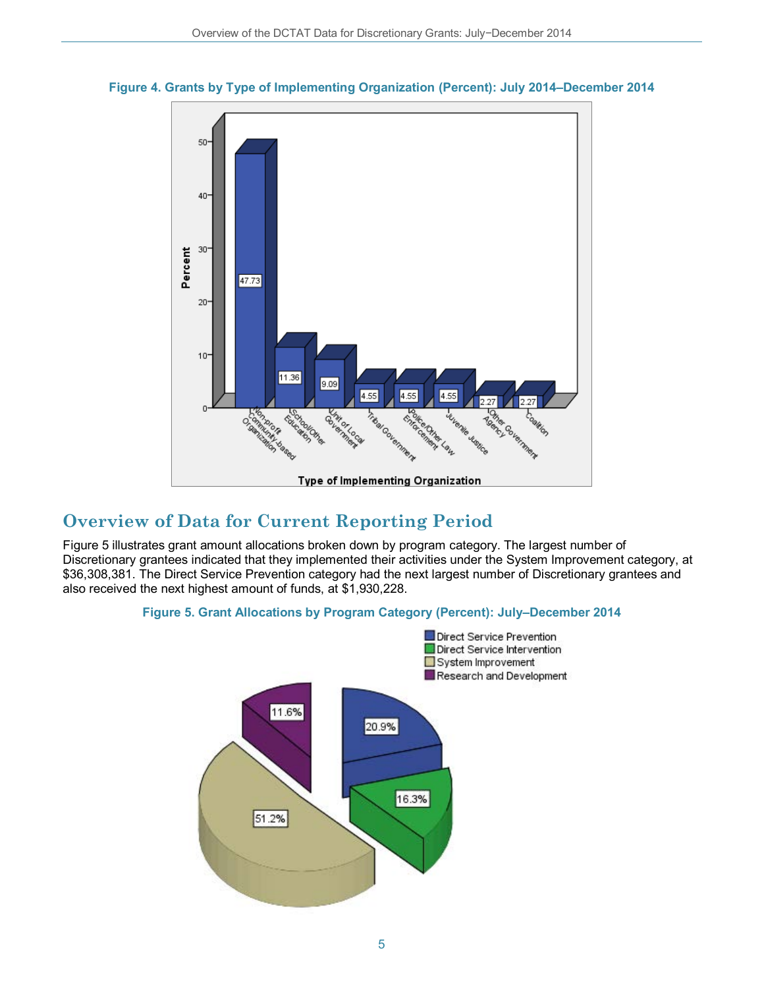

#### **Figure 4. Grants by Type of Implementing Organization (Percent): July 2014–December 2014**

### **Overview of Data for Current Reporting Period**

Figure 5 illustrates grant amount allocations broken down by program category. The largest number of Discretionary grantees indicated that they implemented their activities under the System Improvement category, at \$36,308,381. The Direct Service Prevention category had the next largest number of Discretionary grantees and also received the next highest amount of funds, at \$1,930,228.



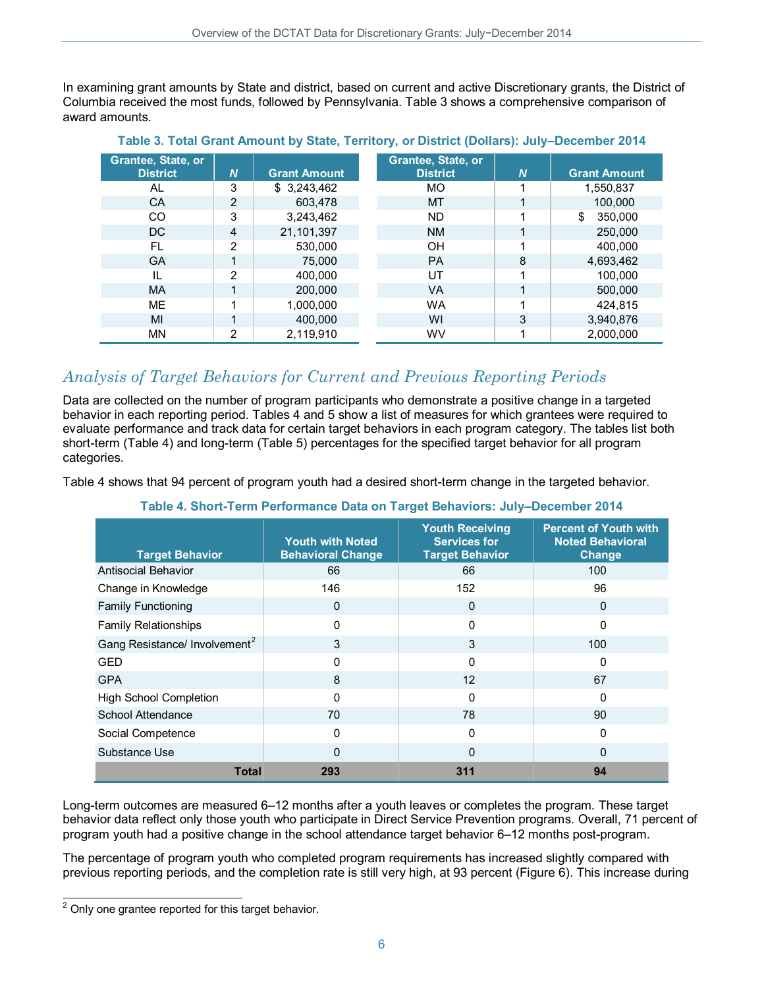In examining grant amounts by State and district, based on current and active Discretionary grants, the District of Columbia received the most funds, followed by Pennsylvania. Table 3 shows a comprehensive comparison of award amounts.

|                                              | --------             |                     |                                              |                  |                     |
|----------------------------------------------|----------------------|---------------------|----------------------------------------------|------------------|---------------------|
| <b>Grantee, State, or</b><br><b>District</b> | <b>N</b>             | <b>Grant Amount</b> | <b>Grantee, State, or</b><br><b>District</b> | $\boldsymbol{N}$ | <b>Grant Amount</b> |
| AL                                           | 3                    | \$3,243,462         | MO                                           |                  | 1,550,837           |
| CA                                           | 2                    | 603.478             | MT                                           |                  | 100.000             |
| <b>CO</b>                                    | 3                    | 3,243,462           | <b>ND</b>                                    |                  | 350,000<br>\$       |
| DC.                                          | $\overline{4}$       | 21,101,397          | <b>NM</b>                                    |                  | 250,000             |
| FL                                           | 2                    | 530,000             | OΗ                                           |                  | 400.000             |
| GA                                           | 1                    | 75.000              | <b>PA</b>                                    | 8                | 4,693,462           |
| IL                                           | 2                    | 400.000             | UT                                           |                  | 100.000             |
| <b>MA</b>                                    | $\mathbf{1}$         | 200,000             | <b>VA</b>                                    | 1                | 500.000             |
| ME.                                          | 1                    | 1.000.000           | <b>WA</b>                                    |                  | 424,815             |
| MI                                           | $\blacktriangleleft$ | 400,000             | WI                                           | 3                | 3,940,876           |
| <b>MN</b>                                    | 2                    | 2,119,910           | WV                                           |                  | 2,000,000           |

#### **Table 3. Total Grant Amount by State, Territory, or District (Dollars): July–December 2014**

### *Analysis of Target Behaviors for Current and Previous Reporting Periods*

Data are collected on the number of program participants who demonstrate a positive change in a targeted behavior in each reporting period. Tables 4 and 5 show a list of measures for which grantees were required to evaluate performance and track data for certain target behaviors in each program category. The tables list both short-term (Table 4) and long-term (Table 5) percentages for the specified target behavior for all program categories.

Table 4 shows that 94 percent of program youth had a desired short-term change in the targeted behavior.

| <b>Target Behavior</b>                    | <b>Youth with Noted</b><br><b>Behavioral Change</b> | <b>Youth Receiving</b><br><b>Services for</b><br><b>Target Behavior</b> | <b>Percent of Youth with</b><br><b>Noted Behavioral</b><br><b>Change</b> |
|-------------------------------------------|-----------------------------------------------------|-------------------------------------------------------------------------|--------------------------------------------------------------------------|
| <b>Antisocial Behavior</b>                | 66                                                  | 66                                                                      | 100                                                                      |
| Change in Knowledge                       | 146                                                 | 152                                                                     | 96                                                                       |
| <b>Family Functioning</b>                 | $\Omega$                                            | 0                                                                       | $\Omega$                                                                 |
| <b>Family Relationships</b>               | $\Omega$                                            | 0                                                                       | 0                                                                        |
| Gang Resistance/ Involvement <sup>2</sup> | 3                                                   | 3                                                                       | 100                                                                      |
| <b>GED</b>                                | 0                                                   | 0                                                                       | 0                                                                        |
| <b>GPA</b>                                | 8                                                   | 12                                                                      | 67                                                                       |
| <b>High School Completion</b>             | 0                                                   | 0                                                                       | 0                                                                        |
| School Attendance                         | 70                                                  | 78                                                                      | 90                                                                       |
| Social Competence                         | 0                                                   | 0                                                                       | $\Omega$                                                                 |
| Substance Use                             | $\Omega$                                            | $\Omega$                                                                | $\Omega$                                                                 |
| Total                                     | 293                                                 | 311                                                                     | 94                                                                       |

**Table 4. Short-Term Performance Data on Target Behaviors: July–December 2014** 

Long-term outcomes are measured 6–12 months after a youth leaves or completes the program. These target behavior data reflect only those youth who participate in Direct Service Prevention programs. Overall, 71 percent of program youth had a positive change in the school attendance target behavior 6–12 months post-program.

The percentage of program youth who completed program requirements has increased slightly compared with previous reporting periods, and the completion rate is still very high, at 93 percent (Figure 6). This increase during

<span id="page-5-0"></span> $\overline{\phantom{a}}$  $2$  Only one grantee reported for this target behavior.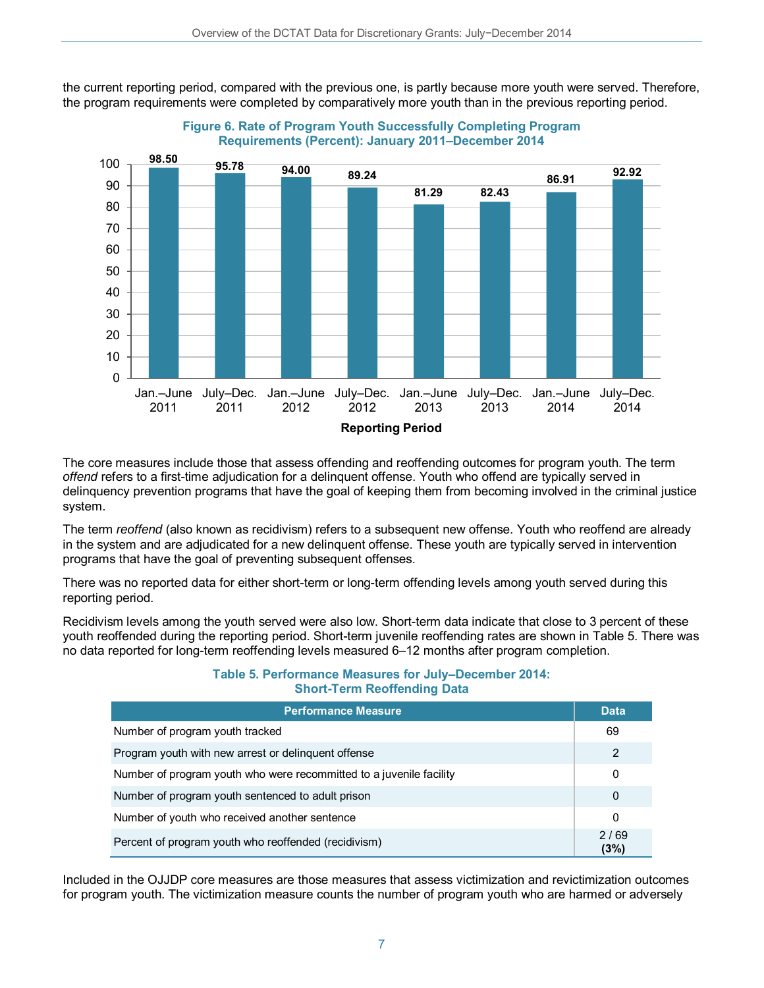the current reporting period, compared with the previous one, is partly because more youth were served. Therefore, the program requirements were completed by comparatively more youth than in the previous reporting period.



**Figure 6. Rate of Program Youth Successfully Completing Program Requirements (Percent): January 2011–December 2014** 

The core measures include those that assess offending and reoffending outcomes for program youth. The term *offend* refers to a first-time adjudication for a delinquent offense. Youth who offend are typically served in delinquency prevention programs that have the goal of keeping them from becoming involved in the criminal justice system.

The term *reoffend* (also known as recidivism) refers to a subsequent new offense. Youth who reoffend are already in the system and are adjudicated for a new delinquent offense. These youth are typically served in intervention programs that have the goal of preventing subsequent offenses.

There was no reported data for either short-term or long-term offending levels among youth served during this reporting period.

Recidivism levels among the youth served were also low. Short-term data indicate that close to 3 percent of these youth reoffended during the reporting period. Short-term juvenile reoffending rates are shown in Table 5. There was no data reported for long-term reoffending levels measured 6–12 months after program completion.

#### **Table 5. Performance Measures for July–December 2014: Short-Term Reoffending Data**

| <b>Performance Measure</b>                                          | <b>Data</b>  |  |
|---------------------------------------------------------------------|--------------|--|
| Number of program youth tracked                                     | 69           |  |
| Program youth with new arrest or delinguent offense                 | 2            |  |
| Number of program youth who were recommitted to a juvenile facility | 0            |  |
| Number of program youth sentenced to adult prison                   | 0            |  |
| Number of youth who received another sentence                       |              |  |
| Percent of program youth who reoffended (recidivism)                | 2/69<br>(3%) |  |

Included in the OJJDP core measures are those measures that assess victimization and revictimization outcomes for program youth. The victimization measure counts the number of program youth who are harmed or adversely